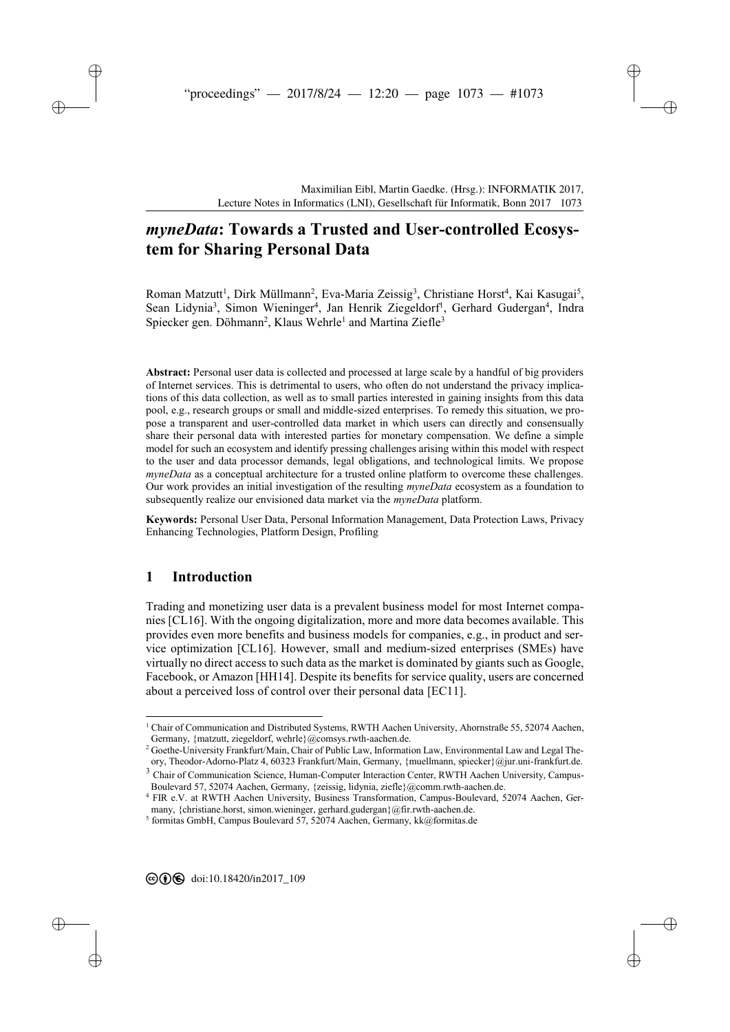# *[m](#page--1-0)yneData***: Towards a Trusted and User-controlled Ecosystem for Sharing Personal Data**

Roman Matzutt<sup>1</sup>, Dirk Müllmann<sup>2</sup>, Eva-Maria Zeissig<sup>3</sup>, Christiane Horst<sup>4</sup>, Kai Kasugai<sup>5</sup>, Sean Lidynia<sup>3</sup>, Simon Wieninger<sup>4</sup>, Jan Henrik Ziegeldorf<sup>1</sup>, Gerhard Gudergan<sup>4</sup>, Indra Spiecker gen. Döhmann<sup>2</sup>, Klaus Wehrle<sup>1</sup> and Martina Ziefle<sup>3</sup>

**Abstract:** Personal user data is collected and processed at large scale by a handful of big providers of Internet services. This is detrimental to users, who often do not understand the privacy implications of this data collection, as well as to small parties interested in gaining insights from this data pool, e.g., research groups or small and middle-sized enterprises. To remedy this situation, we propose a transparent and user-controlled data market in which users can directly and consensually share their personal data with interested parties for monetary compensation. We define a simple model for such an ecosystem and identify pressing challenges arising within this model with respect to the user and data processor demands, legal obligations, and technological limits. We propose *myneData* as a conceptual architecture for a trusted online platform to overcome these challenges. Our work provides an initial investigation of the resulting *myneData* ecosystem as a foundation to subsequently realize our envisioned data market via the *myneData* platform.

**Keywords:** Personal User Data, Personal Information Management, Data Protection Laws, Privacy Enhancing Technologies, Platform Design, Profiling

## **1 Introduction**

-

Trading and monetizing user data is a prevalent business model for most Internet companies [CL16]. With the ongoing digitalization, more and more data becomes available. This provides even more benefits and business models for companies, e.g., in product and service optimization [CL16]. However, small and medium-sized enterprises (SMEs) have virtually no direct access to such data as the market is dominated by giants such as Google, Facebook, or Amazon [HH14]. Despite its benefits for service quality, users are concerned about a perceived loss of control over their personal data [EC11].

<sup>1</sup> Chair of Communication and Distributed Systems, RWTH Aachen University, Ahornstraße 55, 52074 Aachen, Germany, {matzutt, ziegeldorf, wehrle}@comsys.rwth-aachen.de.

<sup>&</sup>lt;sup>2</sup> Goethe-University Frankfurt/Main, Chair of Public Law, Information Law, Environmental Law and Legal Theory, Theodor-Adorno-Platz 4, 60323 Frankfurt/Main, Germany, {muellmann, spiecker}@jur.uni-frankfurt.de.

<sup>&</sup>lt;sup>3</sup> Chair of Communication Science, Human-Computer Interaction Center, RWTH Aachen University, Campus-Boulevard 57, 52074 Aachen, Germany, {zeissig, lidynia, ziefle}@comm.rwth-aachen.de.

<sup>4</sup> FIR e.V. at RWTH Aachen University, Business Transformation, Campus-Boulevard, 52074 Aachen, Germany, {christiane.horst, simon.wieninger, gerhard.gudergan}@fir.rwth-aachen.de.

<sup>5</sup> formitas GmbH, Campus Boulevard 57, 52074 Aachen, Germany, kk@formitas.de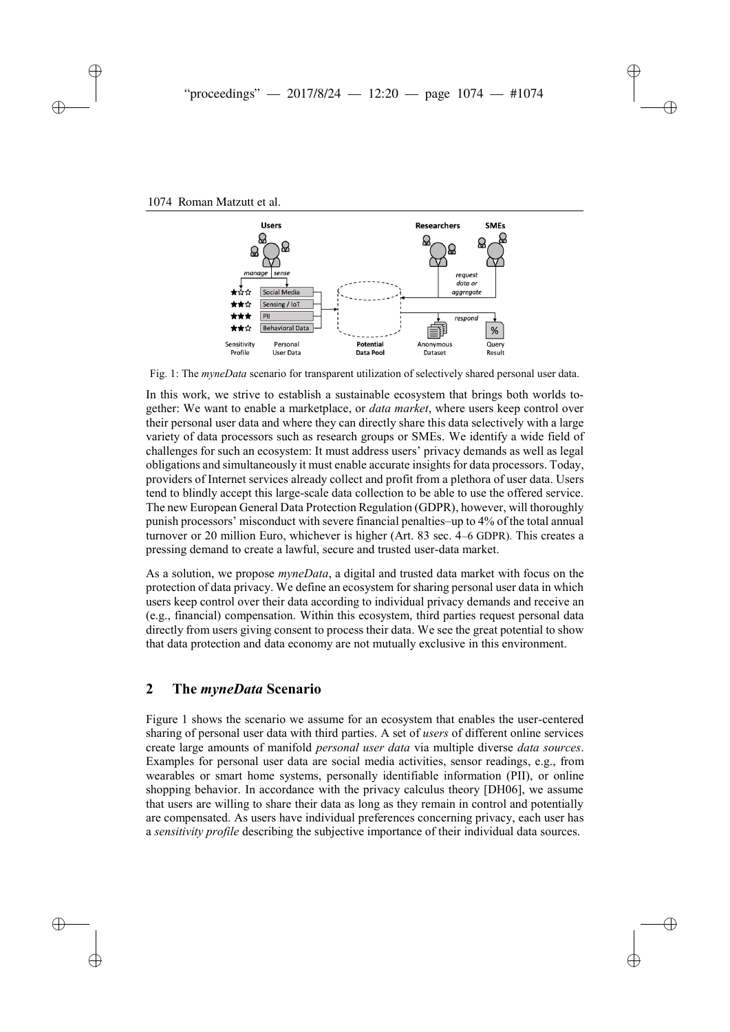

Fig. 1: The *myneData* scenario for transparent utilization of selectively shared personal user data.

In this work, we strive to establish a sustainable ecosystem that brings both worlds together: We want to enable a marketplace, or *data market*, where users keep control over their personal user data and where they can directly share this data selectively with a large variety of data processors such as research groups or SMEs. We identify a wide field of challenges for such an ecosystem: It must address users' privacy demands as well as legal obligations and simultaneously it must enable accurate insights for data processors. Today, providers of Internet services already collect and profit from a plethora of user data. Users tend to blindly accept this large-scale data collection to be able to use the offered service. The new European General Data Protection Regulation (GDPR), however, will thoroughly punish processors' misconduct with severe financial penalties–up to 4% of the total annual turnover or 20 million Euro, whichever is higher (Art. 83 sec. 4–6 GDPR). This creates a pressing demand to create a lawful, secure and trusted user-data market.

As a solution, we propose *myneData*, a digital and trusted data market with focus on the protection of data privacy. We define an ecosystem for sharing personal user data in which users keep control over their data according to individual privacy demands and receive an (e.g., financial) compensation. Within this ecosystem, third parties request personal data directly from users giving consent to process their data. We see the great potential to show that data protection and data economy are not mutually exclusive in this environment.

### **2 The** *myneData* **Scenario**

Figure 1 shows the scenario we assume for an ecosystem that enables the user-centered sharing of personal user data with third parties. A set of *users* of different online services create large amounts of manifold *personal user data* via multiple diverse *data sources*. Examples for personal user data are social media activities, sensor readings, e.g., from wearables or smart home systems, personally identifiable information (PII), or online shopping behavior. In accordance with the privacy calculus theory [DH06], we assume that users are willing to share their data as long as they remain in control and potentially are compensated. As users have individual preferences concerning privacy, each user has a *sensitivity profile* describing the subjective importance of their individual data sources.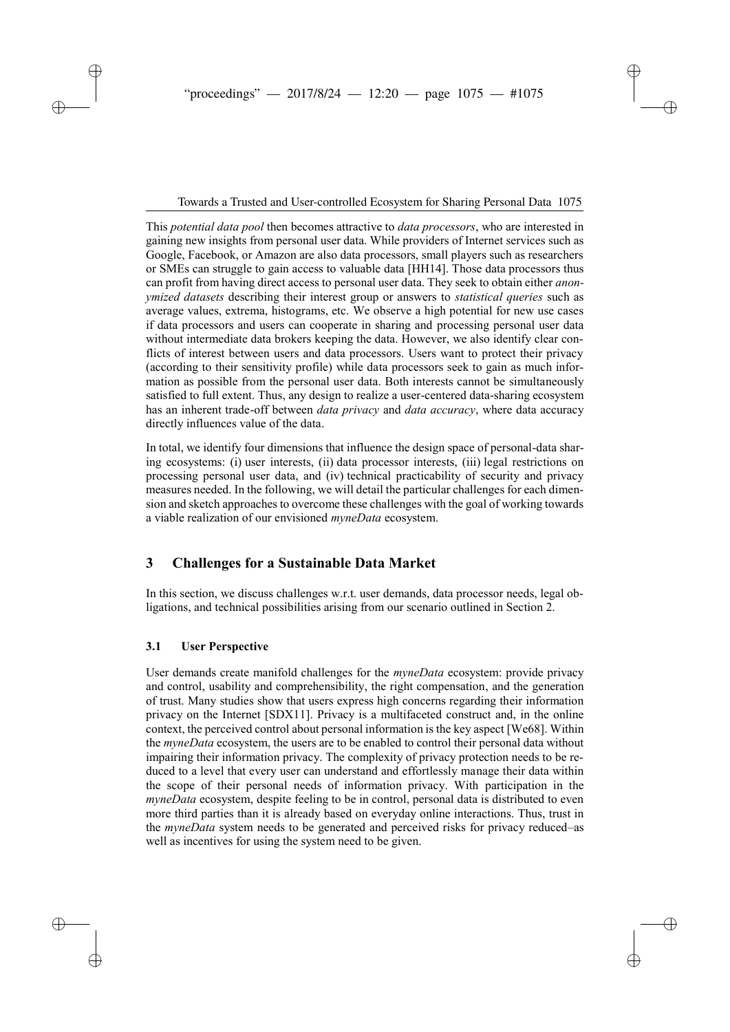Towards a Trusted and User-controlled Ecosystem for Sharing Personal Data 1075

This *potential data pool* then becomes attractive to *data processors*, who are interested in gaining new insights from personal user data. While providers of Internet services such as Google, Facebook, or Amazon are also data processors, small players such as researchers or SMEs can struggle to gain access to valuable data [HH14]. Those data processors thus can profit from having direct access to personal user data. They seek to obtain either *anonymized datasets* describing their interest group or answers to *statistical queries* such as average values, extrema, histograms, etc. We observe a high potential for new use cases if data processors and users can cooperate in sharing and processing personal user data without intermediate data brokers keeping the data. However, we also identify clear conflicts of interest between users and data processors. Users want to protect their privacy (according to their sensitivity profile) while data processors seek to gain as much information as possible from the personal user data. Both interests cannot be simultaneously satisfied to full extent. Thus, any design to realize a user-centered data-sharing ecosystem has an inherent trade-off between *data privacy* and *data accuracy*, where data accuracy directly influences value of the data.

In total, we identify four dimensions that influence the design space of personal-data sharing ecosystems: (i) user interests, (ii) data processor interests, (iii) legal restrictions on processing personal user data, and (iv) technical practicability of security and privacy measures needed. In the following, we will detail the particular challenges for each dimension and sketch approaches to overcome these challenges with the goal of working towards a viable realization of our envisioned *myneData* ecosystem.

# **3 Challenges for a Sustainable Data Market**

In this section, we discuss challenges w.r.t. user demands, data processor needs, legal obligations, and technical possibilities arising from our scenario outlined in Section 2.

### **3.1 User Perspective**

User demands create manifold challenges for the *myneData* ecosystem: provide privacy and control, usability and comprehensibility, the right compensation, and the generation of trust. Many studies show that users express high concerns regarding their information privacy on the Internet [SDX11]. Privacy is a multifaceted construct and, in the online context, the perceived control about personal information is the key aspect [We68]. Within the *myneData* ecosystem, the users are to be enabled to control their personal data without impairing their information privacy. The complexity of privacy protection needs to be reduced to a level that every user can understand and effortlessly manage their data within the scope of their personal needs of information privacy. With participation in the *myneData* ecosystem, despite feeling to be in control, personal data is distributed to even more third parties than it is already based on everyday online interactions. Thus, trust in the *myneData* system needs to be generated and perceived risks for privacy reduced–as well as incentives for using the system need to be given.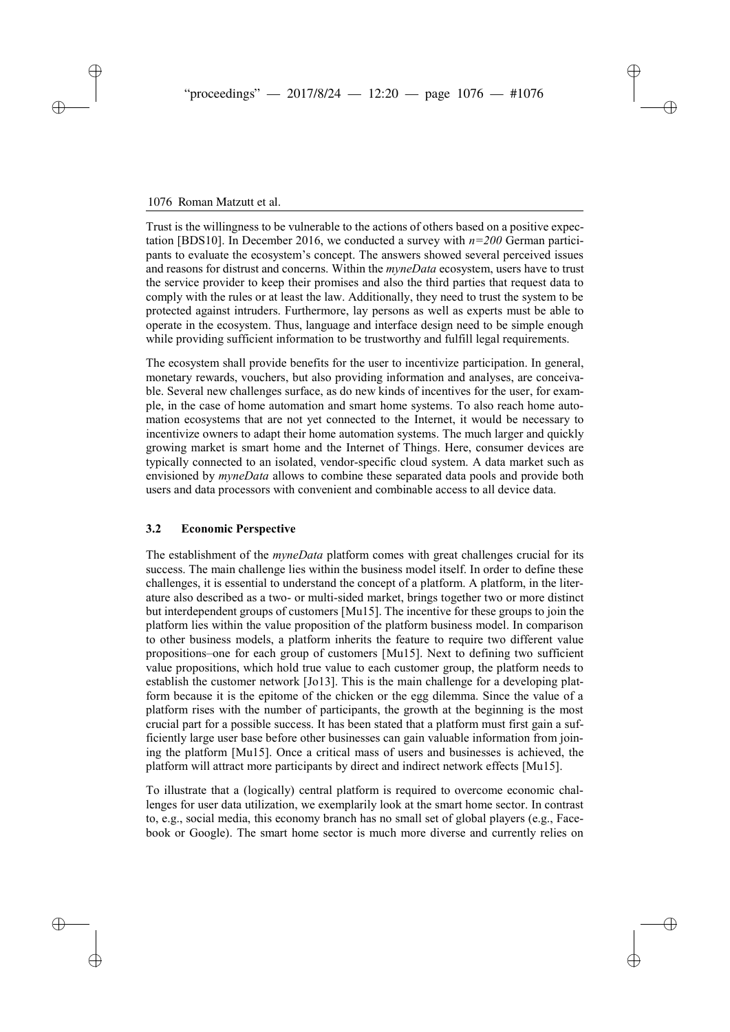#### 18 Roman Matzutt et al. 1076 Roman Matzutt et al.

Trust is the willingness to be vulnerable to the actions of others based on a positive expectation [BDS10]. In December 2016, we conducted a survey with  $n=200$  German participants to evaluate the ecosystem's concept. The answers showed several perceived issues and reasons for distrust and concerns. Within the *myneData* ecosystem, users have to trust the service provider to keep their promises and also the third parties that request data to comply with the rules or at least the law. Additionally, they need to trust the system to be protected against intruders. Furthermore, lay persons as well as experts must be able to operate in the ecosystem. Thus, language and interface design need to be simple enough while providing sufficient information to be trustworthy and fulfill legal requirements.

The ecosystem shall provide benefits for the user to incentivize participation. In general, monetary rewards, vouchers, but also providing information and analyses, are conceivable. Several new challenges surface, as do new kinds of incentives for the user, for example, in the case of home automation and smart home systems. To also reach home automation ecosystems that are not yet connected to the Internet, it would be necessary to incentivize owners to adapt their home automation systems. The much larger and quickly growing market is smart home and the Internet of Things. Here, consumer devices are typically connected to an isolated, vendor-specific cloud system. A data market such as envisioned by *myneData* allows to combine these separated data pools and provide both users and data processors with convenient and combinable access to all device data.

#### **3.2 Economic Perspective**

The establishment of the *myneData* platform comes with great challenges crucial for its success. The main challenge lies within the business model itself. In order to define these challenges, it is essential to understand the concept of a platform. A platform, in the literature also described as a two- or multi-sided market, brings together two or more distinct but interdependent groups of customers [Mu15]. The incentive for these groups to join the platform lies within the value proposition of the platform business model. In comparison to other business models, a platform inherits the feature to require two different value propositions–one for each group of customers [Mu15]. Next to defining two sufficient value propositions, which hold true value to each customer group, the platform needs to establish the customer network [Jo13]. This is the main challenge for a developing platform because it is the epitome of the chicken or the egg dilemma. Since the value of a platform rises with the number of participants, the growth at the beginning is the most crucial part for a possible success. It has been stated that a platform must first gain a sufficiently large user base before other businesses can gain valuable information from joining the platform [Mu15]. Once a critical mass of users and businesses is achieved, the platform will attract more participants by direct and indirect network effects [Mu15].

To illustrate that a (logically) central platform is required to overcome economic challenges for user data utilization, we exemplarily look at the smart home sector. In contrast to, e.g., social media, this economy branch has no small set of global players (e.g., Facebook or Google). The smart home sector is much more diverse and currently relies on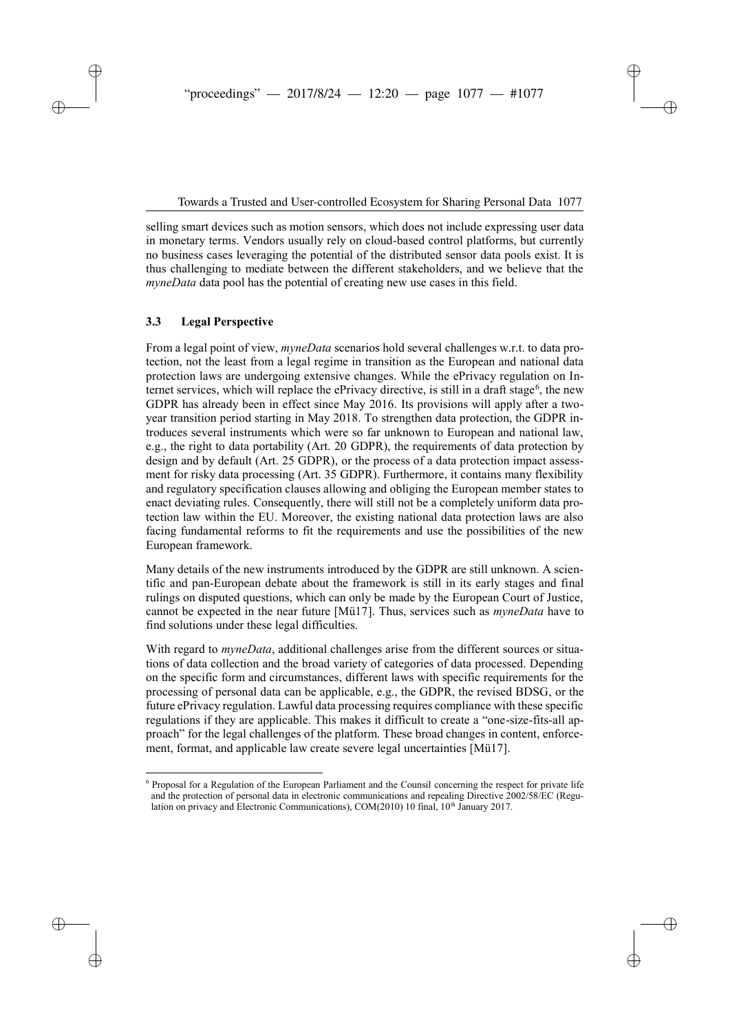selling smart devices such as motion sensors, which does not include expressing user data in monetary terms. Vendors usually rely on cloud-based control platforms, but currently no business cases leveraging the potential of the distributed sensor data pools exist. It is thus challenging to mediate between the different stakeholders, and we believe that the *myneData* data pool has the potential of creating new use cases in this field.

### **3.3 Legal Perspective**

l

From a legal point of view, *myneData* scenarios hold several challenges w.r.t. to data protection, not the least from a legal regime in transition as the European and national data protection laws are undergoing extensive changes. While the ePrivacy regulation on Internet services, which will replace the ePrivacy directive, is still in a draft stage<sup>6</sup>, the new GDPR has already been in effect since May 2016. Its provisions will apply after a twoyear transition period starting in May 2018. To strengthen data protection, the GDPR introduces several instruments which were so far unknown to European and national law, e.g., the right to data portability (Art. 20 GDPR), the requirements of data protection by design and by default (Art. 25 GDPR), or the process of a data protection impact assessment for risky data processing (Art. 35 GDPR). Furthermore, it contains many flexibility and regulatory specification clauses allowing and obliging the European member states to enact deviating rules. Consequently, there will still not be a completely uniform data protection law within the EU. Moreover, the existing national data protection laws are also facing fundamental reforms to fit the requirements and use the possibilities of the new European framework.

Many details of the new instruments introduced by the GDPR are still unknown. A scientific and pan-European debate about the framework is still in its early stages and final rulings on disputed questions, which can only be made by the European Court of Justice, cannot be expected in the near future [Mü17]. Thus, services such as *myneData* have to find solutions under these legal difficulties.

With regard to *myneData*, additional challenges arise from the different sources or situations of data collection and the broad variety of categories of data processed. Depending on the specific form and circumstances, different laws with specific requirements for the processing of personal data can be applicable, e.g., the GDPR, the revised BDSG, or the future ePrivacy regulation. Lawful data processing requires compliance with these specific regulations if they are applicable. This makes it difficult to create a "one-size-fits-all approach" for the legal challenges of the platform. These broad changes in content, enforcement, format, and applicable law create severe legal uncertainties [Mü17].

<sup>6</sup> Proposal for a Regulation of the European Parliament and the Counsil concerning the respect for private life and the protection of personal data in electronic communications and repealing Directive 2002/58/EC (Regulation on privacy and Electronic Communications), COM(2010) 10 final, 10<sup>th</sup> January 2017.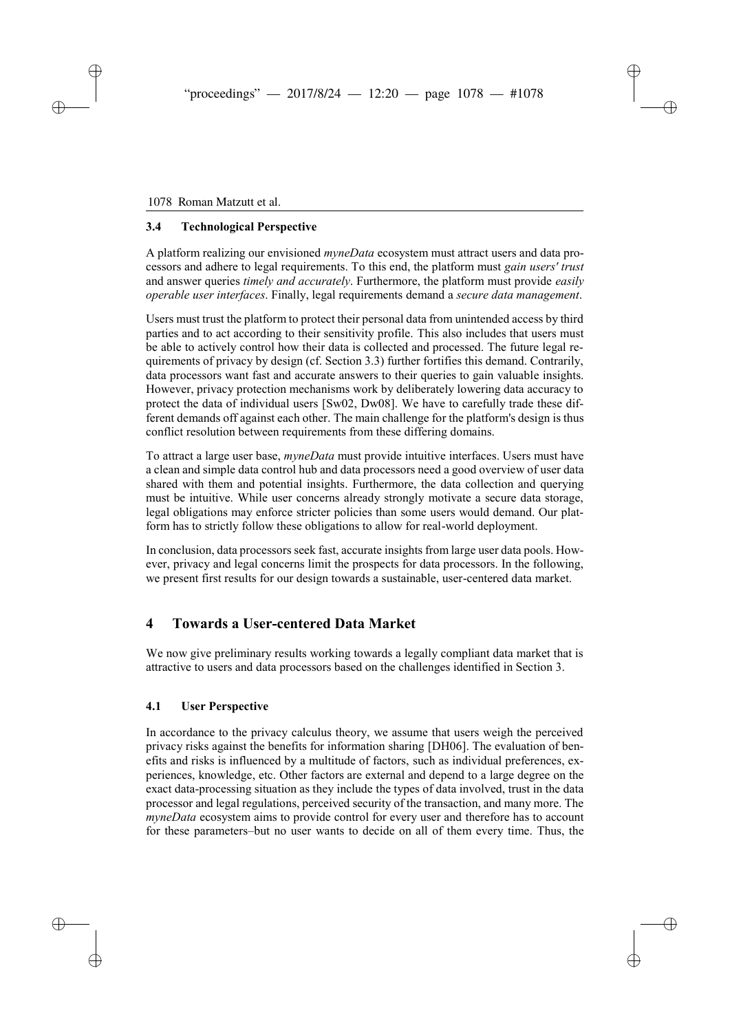#### 20 Roman Matzutt et al. 1078 Roman Matzutt et al.

### **3.4 Technological Perspective**

A platform realizing our envisioned *myneData* ecosystem must attract users and data processors and adhere to legal requirements. To this end, the platform must *gain users' trust* and answer queries *timely and accurately*. Furthermore, the platform must provide *easily operable user interfaces*. Finally, legal requirements demand a *secure data management*.

Users must trust the platform to protect their personal data from unintended access by third parties and to act according to their sensitivity profile. This also includes that users must be able to actively control how their data is collected and processed. The future legal requirements of privacy by design (cf. Section 3.3) further fortifies this demand. Contrarily, data processors want fast and accurate answers to their queries to gain valuable insights. However, privacy protection mechanisms work by deliberately lowering data accuracy to protect the data of individual users [Sw02, Dw08]. We have to carefully trade these different demands off against each other. The main challenge for the platform's design is thus conflict resolution between requirements from these differing domains.

To attract a large user base, *myneData* must provide intuitive interfaces. Users must have a clean and simple data control hub and data processors need a good overview of user data shared with them and potential insights. Furthermore, the data collection and querying must be intuitive. While user concerns already strongly motivate a secure data storage, legal obligations may enforce stricter policies than some users would demand. Our platform has to strictly follow these obligations to allow for real-world deployment.

In conclusion, data processors seek fast, accurate insights from large user data pools. However, privacy and legal concerns limit the prospects for data processors. In the following, we present first results for our design towards a sustainable, user-centered data market.

## **4 Towards a User-centered Data Market**

We now give preliminary results working towards a legally compliant data market that is attractive to users and data processors based on the challenges identified in Section 3.

### **4.1 User Perspective**

In accordance to the privacy calculus theory, we assume that users weigh the perceived privacy risks against the benefits for information sharing [DH06]. The evaluation of benefits and risks is influenced by a multitude of factors, such as individual preferences, experiences, knowledge, etc. Other factors are external and depend to a large degree on the exact data-processing situation as they include the types of data involved, trust in the data processor and legal regulations, perceived security of the transaction, and many more. The *myneData* ecosystem aims to provide control for every user and therefore has to account for these parameters–but no user wants to decide on all of them every time. Thus, the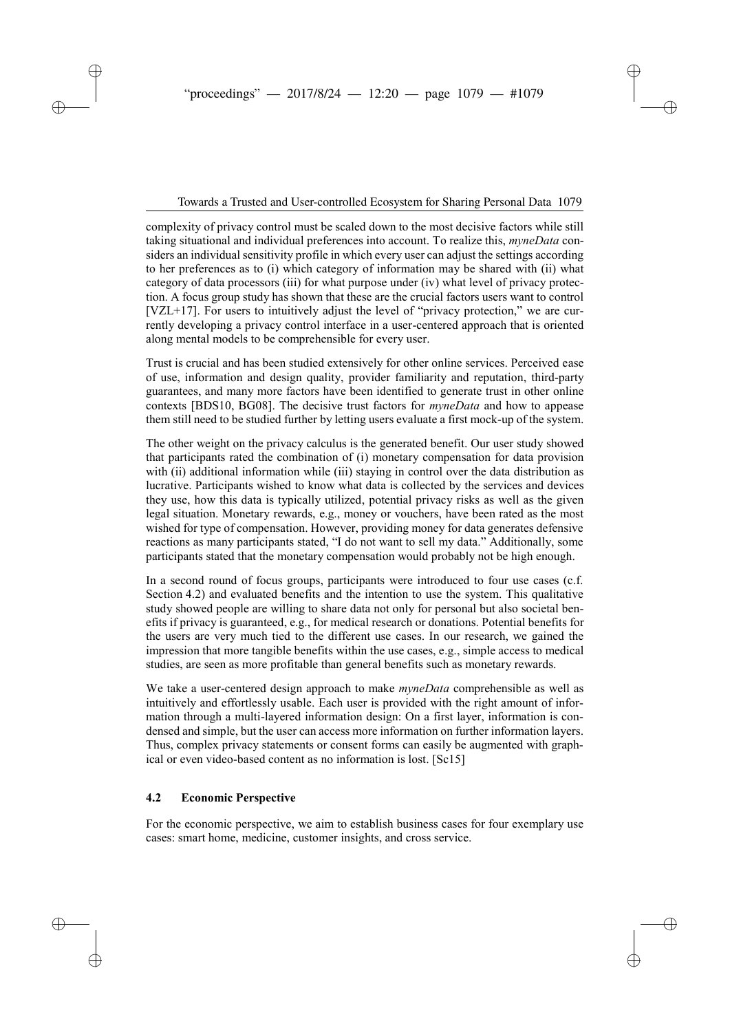complexity of privacy control must be scaled down to the most decisive factors while still taking situational and individual preferences into account. To realize this, *myneData* considers an individual sensitivity profile in which every user can adjust the settings according to her preferences as to (i) which category of information may be shared with (ii) what category of data processors (iii) for what purpose under (iv) what level of privacy protection. A focus group study has shown that these are the crucial factors users want to control [VZL+17]. For users to intuitively adjust the level of "privacy protection," we are currently developing a privacy control interface in a user-centered approach that is oriented along mental models to be comprehensible for every user.

Trust is crucial and has been studied extensively for other online services. Perceived ease of use, information and design quality, provider familiarity and reputation, third-party guarantees, and many more factors have been identified to generate trust in other online contexts [BDS10, BG08]. The decisive trust factors for *myneData* and how to appease them still need to be studied further by letting users evaluate a first mock-up of the system.

The other weight on the privacy calculus is the generated benefit. Our user study showed that participants rated the combination of (i) monetary compensation for data provision with (ii) additional information while (iii) staying in control over the data distribution as lucrative. Participants wished to know what data is collected by the services and devices they use, how this data is typically utilized, potential privacy risks as well as the given legal situation. Monetary rewards, e.g., money or vouchers, have been rated as the most wished for type of compensation. However, providing money for data generates defensive reactions as many participants stated, "I do not want to sell my data." Additionally, some participants stated that the monetary compensation would probably not be high enough.

In a second round of focus groups, participants were introduced to four use cases (c.f. Section 4.2) and evaluated benefits and the intention to use the system. This qualitative study showed people are willing to share data not only for personal but also societal benefits if privacy is guaranteed, e.g., for medical research or donations. Potential benefits for the users are very much tied to the different use cases. In our research, we gained the impression that more tangible benefits within the use cases, e.g., simple access to medical studies, are seen as more profitable than general benefits such as monetary rewards.

We take a user-centered design approach to make *myneData* comprehensible as well as intuitively and effortlessly usable. Each user is provided with the right amount of information through a multi-layered information design: On a first layer, information is condensed and simple, but the user can access more information on further information layers. Thus, complex privacy statements or consent forms can easily be augmented with graphical or even video-based content as no information is lost. [Sc15]

### **4.2 Economic Perspective**

For the economic perspective, we aim to establish business cases for four exemplary use cases: smart home, medicine, customer insights, and cross service.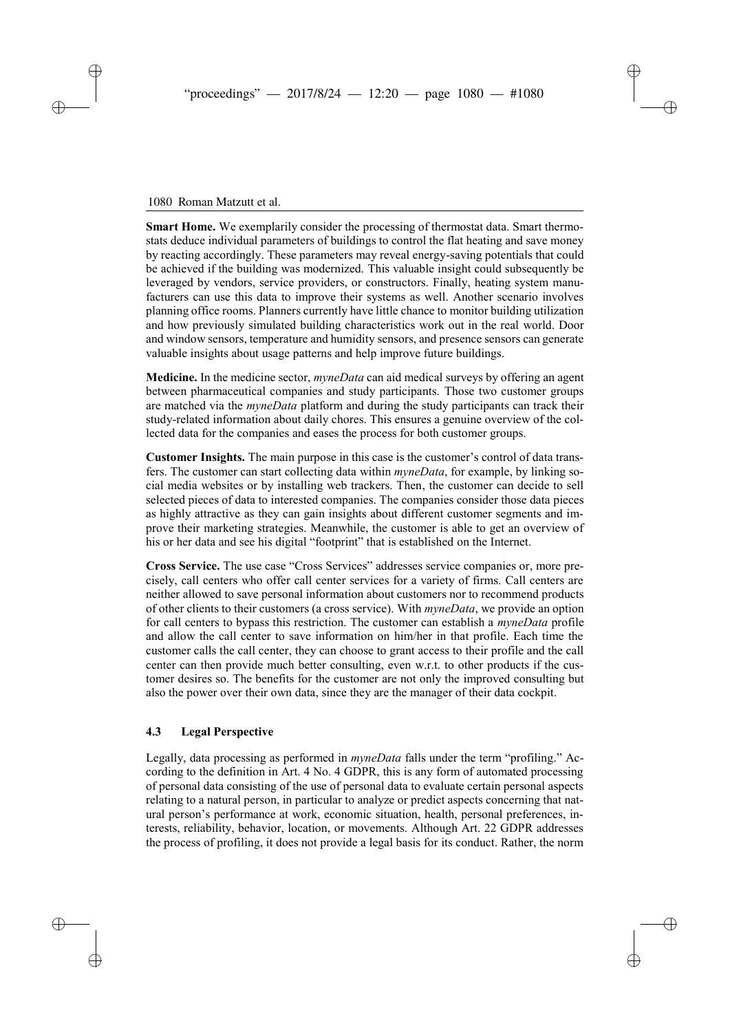#### 1080 Roman Matzutt et al.

**Smart Home.** We exemplarily consider the processing of thermostat data. Smart thermostats deduce individual parameters of buildings to control the flat heating and save money by reacting accordingly. These parameters may reveal energy-saving potentials that could be achieved if the building was modernized. This valuable insight could subsequently be leveraged by vendors, service providers, or constructors. Finally, heating system manufacturers can use this data to improve their systems as well. Another scenario involves planning office rooms. Planners currently have little chance to monitor building utilization and how previously simulated building characteristics work out in the real world. Door and window sensors, temperature and humidity sensors, and presence sensors can generate valuable insights about usage patterns and help improve future buildings.

**Medicine.** In the medicine sector, *myneData* can aid medical surveys by offering an agent between pharmaceutical companies and study participants. Those two customer groups are matched via the *myneData* platform and during the study participants can track their study-related information about daily chores. This ensures a genuine overview of the collected data for the companies and eases the process for both customer groups.

**Customer Insights.** The main purpose in this case is the customer's control of data transfers. The customer can start collecting data within *myneData*, for example, by linking social media websites or by installing web trackers. Then, the customer can decide to sell selected pieces of data to interested companies. The companies consider those data pieces as highly attractive as they can gain insights about different customer segments and improve their marketing strategies. Meanwhile, the customer is able to get an overview of his or her data and see his digital "footprint" that is established on the Internet.

**Cross Service.** The use case "Cross Services" addresses service companies or, more precisely, call centers who offer call center services for a variety of firms. Call centers are neither allowed to save personal information about customers nor to recommend products of other clients to their customers (a cross service). With *myneData*, we provide an option for call centers to bypass this restriction. The customer can establish a *myneData* profile and allow the call center to save information on him/her in that profile. Each time the customer calls the call center, they can choose to grant access to their profile and the call center can then provide much better consulting, even w.r.t. to other products if the customer desires so. The benefits for the customer are not only the improved consulting but also the power over their own data, since they are the manager of their data cockpit.

#### **4.3 Legal Perspective**

Legally, data processing as performed in *myneData* falls under the term "profiling." According to the definition in Art. 4 No. 4 GDPR, this is any form of automated processing of personal data consisting of the use of personal data to evaluate certain personal aspects relating to a natural person, in particular to analyze or predict aspects concerning that natural person's performance at work, economic situation, health, personal preferences, interests, reliability, behavior, location, or movements. Although Art. 22 GDPR addresses the process of profiling, it does not provide a legal basis for its conduct. Rather, the norm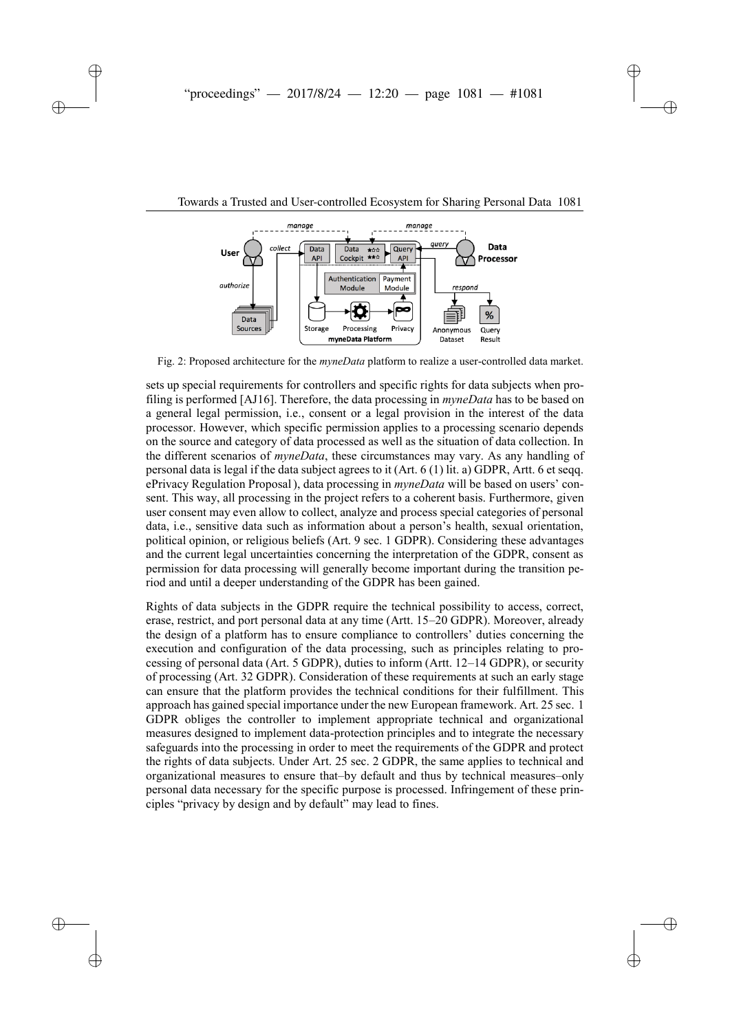

Fig. 2: Proposed architecture for the *myneData* platform to realize a user-controlled data market.

sets up special requirements for controllers and specific rights for data subjects when profiling is performed [AJ16]. Therefore, the data processing in *myneData* has to be based on a general legal permission, i.e., consent or a legal provision in the interest of the data processor. However, which specific permission applies to a processing scenario depends on the source and category of data processed as well as the situation of data collection. In the different scenarios of *myneData*, these circumstances may vary. As any handling of personal data is legal if the data subject agrees to it (Art. 6 (1) lit. a) GDPR, Artt. 6 et seqq. ePrivacy Regulation Proposal), data processing in *myneData* will be based on users' consent. This way, all processing in the project refers to a coherent basis. Furthermore, given user consent may even allow to collect, analyze and process special categories of personal data, i.e., sensitive data such as information about a person's health, sexual orientation, political opinion, or religious beliefs (Art. 9 sec. 1 GDPR). Considering these advantages and the current legal uncertainties concerning the interpretation of the GDPR, consent as permission for data processing will generally become important during the transition period and until a deeper understanding of the GDPR has been gained.

Rights of data subjects in the GDPR require the technical possibility to access, correct, erase, restrict, and port personal data at any time (Artt. 15–20 GDPR). Moreover, already the design of a platform has to ensure compliance to controllers' duties concerning the execution and configuration of the data processing, such as principles relating to processing of personal data (Art. 5 GDPR), duties to inform (Artt. 12–14 GDPR), or security of processing (Art. 32 GDPR). Consideration of these requirements at such an early stage can ensure that the platform provides the technical conditions for their fulfillment. This approach has gained special importance under the new European framework. Art. 25 sec. 1 GDPR obliges the controller to implement appropriate technical and organizational measures designed to implement data-protection principles and to integrate the necessary safeguards into the processing in order to meet the requirements of the GDPR and protect the rights of data subjects. Under Art. 25 sec. 2 GDPR, the same applies to technical and organizational measures to ensure that–by default and thus by technical measures–only personal data necessary for the specific purpose is processed. Infringement of these principles "privacy by design and by default" may lead to fines.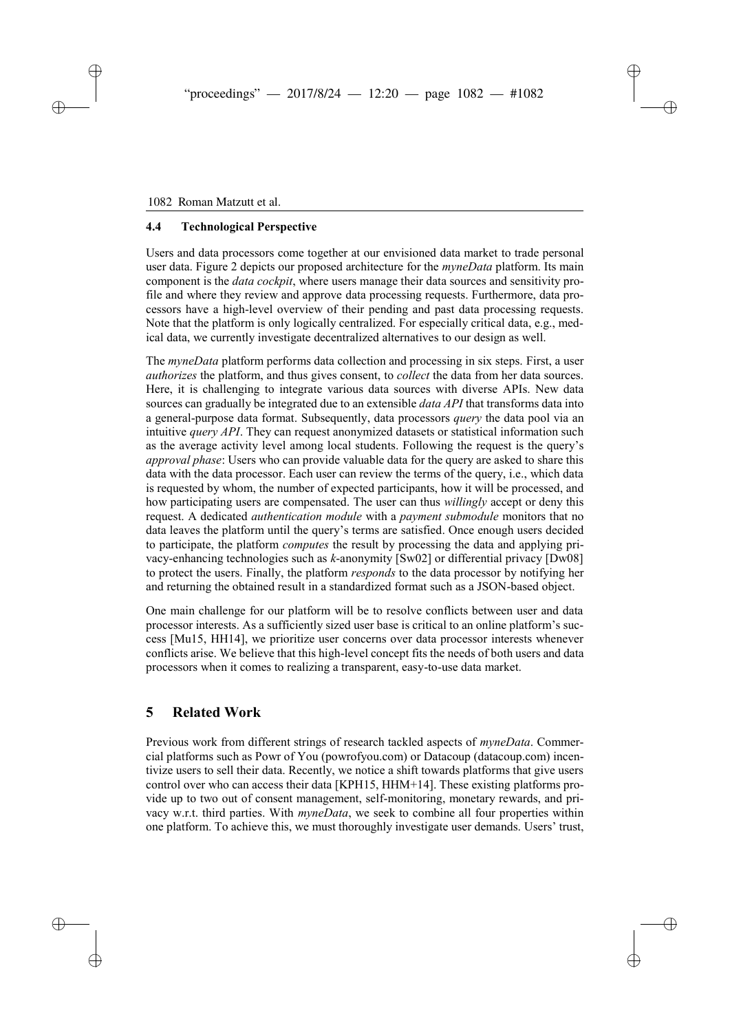### **4.4 Technological Perspective**

Users and data processors come together at our envisioned data market to trade personal user data. Figure 2 depicts our proposed architecture for the *myneData* platform. Its main component is the *data cockpit*, where users manage their data sources and sensitivity profile and where they review and approve data processing requests. Furthermore, data processors have a high-level overview of their pending and past data processing requests. Note that the platform is only logically centralized. For especially critical data, e.g., medical data, we currently investigate decentralized alternatives to our design as well.

The *myneData* platform performs data collection and processing in six steps. First, a user *authorizes* the platform, and thus gives consent, to *collect* the data from her data sources. Here, it is challenging to integrate various data sources with diverse APIs. New data sources can gradually be integrated due to an extensible *data API* that transforms data into a general-purpose data format. Subsequently, data processors *query* the data pool via an intuitive *query API*. They can request anonymized datasets or statistical information such as the average activity level among local students. Following the request is the query's *approval phase*: Users who can provide valuable data for the query are asked to share this data with the data processor. Each user can review the terms of the query, i.e., which data is requested by whom, the number of expected participants, how it will be processed, and how participating users are compensated. The user can thus *willingly* accept or deny this request. A dedicated *authentication module* with a *payment submodule* monitors that no data leaves the platform until the query's terms are satisfied. Once enough users decided to participate, the platform *computes* the result by processing the data and applying privacy-enhancing technologies such as *k*-anonymity [Sw02] or differential privacy [Dw08] to protect the users. Finally, the platform *responds* to the data processor by notifying her and returning the obtained result in a standardized format such as a JSON-based object.

One main challenge for our platform will be to resolve conflicts between user and data processor interests. As a sufficiently sized user base is critical to an online platform's success [Mu15, HH14], we prioritize user concerns over data processor interests whenever conflicts arise. We believe that this high-level concept fits the needs of both users and data processors when it comes to realizing a transparent, easy-to-use data market.

# **5 Related Work**

Previous work from different strings of research tackled aspects of *myneData*. Commercial platforms such as Powr of You (powrofyou.com) or Datacoup (datacoup.com) incentivize users to sell their data. Recently, we notice a shift towards platforms that give users control over who can access their data [KPH15, HHM+14]. These existing platforms provide up to two out of consent management, self-monitoring, monetary rewards, and privacy w.r.t. third parties. With *myneData*, we seek to combine all four properties within one platform. To achieve this, we must thoroughly investigate user demands. Users' trust,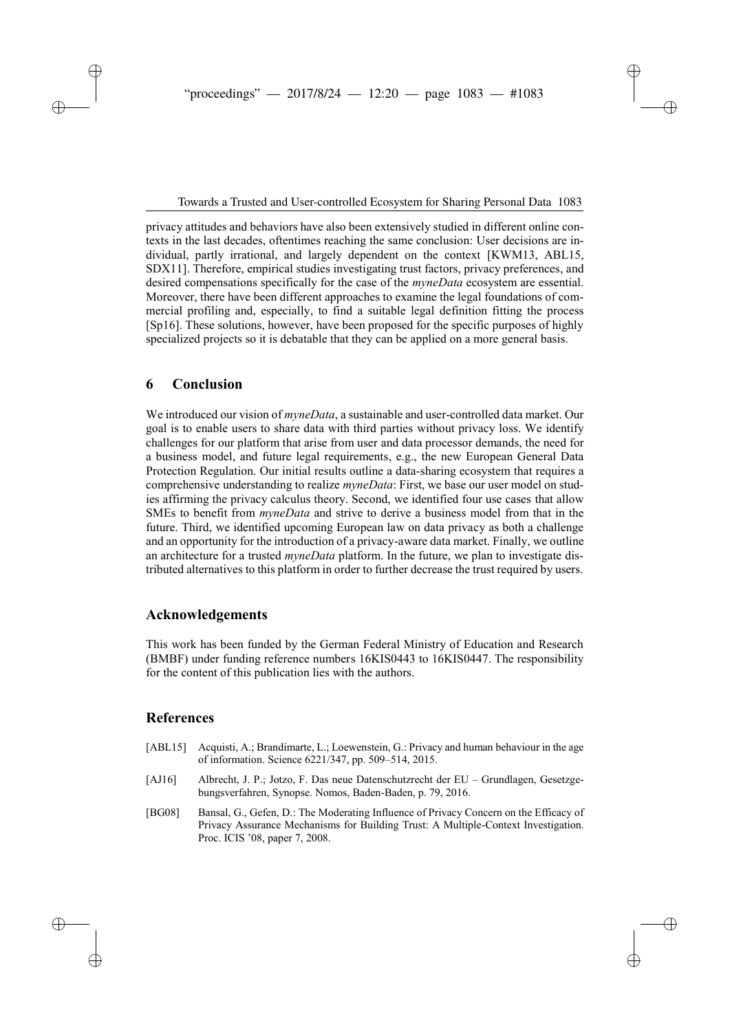privacy attitudes and behaviors have also been extensively studied in different online contexts in the last decades, oftentimes reaching the same conclusion: User decisions are individual, partly irrational, and largely dependent on the context [KWM13, ABL15, SDX11]. Therefore, empirical studies investigating trust factors, privacy preferences, and desired compensations specifically for the case of the *myneData* ecosystem are essential. Moreover, there have been different approaches to examine the legal foundations of commercial profiling and, especially, to find a suitable legal definition fitting the process [Sp16]. These solutions, however, have been proposed for the specific purposes of highly specialized projects so it is debatable that they can be applied on a more general basis.

### **6 Conclusion**

We introduced our vision of *myneData*, a sustainable and user-controlled data market. Our goal is to enable users to share data with third parties without privacy loss. We identify challenges for our platform that arise from user and data processor demands, the need for a business model, and future legal requirements, e.g., the new European General Data Protection Regulation. Our initial results outline a data-sharing ecosystem that requires a comprehensive understanding to realize *myneData*: First, we base our user model on studies affirming the privacy calculus theory. Second, we identified four use cases that allow SMEs to benefit from *myneData* and strive to derive a business model from that in the future. Third, we identified upcoming European law on data privacy as both a challenge and an opportunity for the introduction of a privacy-aware data market. Finally, we outline an architecture for a trusted *myneData* platform. In the future, we plan to investigate distributed alternatives to this platform in order to further decrease the trust required by users.

## **Acknowledgements**

This work has been funded by the German Federal Ministry of Education and Research (BMBF) under funding reference numbers 16KIS0443 to 16KIS0447. The responsibility for the content of this publication lies with the authors.

## **References**

| [ABL15]    | Acquisti, A.; Brandimarte, L.; Loewenstein, G.: Privacy and human behaviour in the age<br>of information. Science 6221/347, pp. 509–514, 2015.                                                                |
|------------|---------------------------------------------------------------------------------------------------------------------------------------------------------------------------------------------------------------|
| [ $AJ16$ ] | Albrecht, J. P.; Jotzo, F. Das neue Datenschutzrecht der EU – Grundlagen, Gesetzge-<br>bungsverfahren, Synopse. Nomos, Baden-Baden, p. 79, 2016.                                                              |
| [BG08]     | Bansal, G., Gefen, D.: The Moderating Influence of Privacy Concern on the Efficacy of<br>Privacy Assurance Mechanisms for Building Trust: A Multiple-Context Investigation.<br>Proc. ICIS '08, paper 7, 2008. |